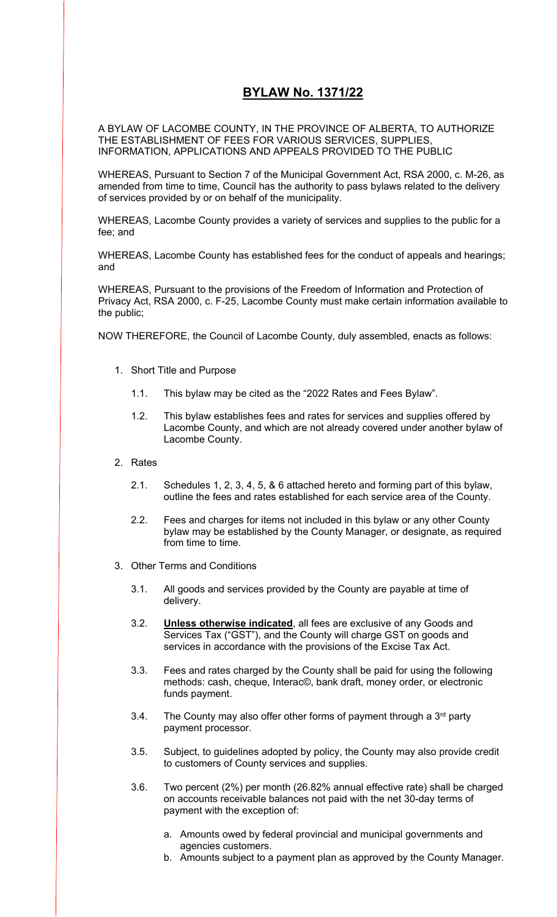# **BYLAW No. 1371/22**

A BYLAW OF LACOMBE COUNTY, IN THE PROVINCE OF ALBERTA, TO AUTHORIZE THE ESTABLISHMENT OF FEES FOR VARIOUS SERVICES, SUPPLIES, INFORMATION, APPLICATIONS AND APPEALS PROVIDED TO THE PUBLIC

WHEREAS, Pursuant to Section 7 of the Municipal Government Act, RSA 2000, c. M-26, as amended from time to time, Council has the authority to pass bylaws related to the delivery of services provided by or on behalf of the municipality.

WHEREAS, Lacombe County provides a variety of services and supplies to the public for a fee; and

WHEREAS, Lacombe County has established fees for the conduct of appeals and hearings; and

WHEREAS, Pursuant to the provisions of the Freedom of Information and Protection of Privacy Act, RSA 2000, c. F-25, Lacombe County must make certain information available to the public;

NOW THEREFORE, the Council of Lacombe County, duly assembled, enacts as follows:

- 1. Short Title and Purpose
	- 1.1. This bylaw may be cited as the "2022 Rates and Fees Bylaw".
	- 1.2. This bylaw establishes fees and rates for services and supplies offered by Lacombe County, and which are not already covered under another bylaw of Lacombe County.
- 2. Rates
	- 2.1. Schedules 1, 2, 3, 4, 5, & 6 attached hereto and forming part of this bylaw, outline the fees and rates established for each service area of the County.
	- 2.2. Fees and charges for items not included in this bylaw or any other County bylaw may be established by the County Manager, or designate, as required from time to time.
- 3. Other Terms and Conditions
	- 3.1. All goods and services provided by the County are payable at time of delivery.
	- 3.2. **Unless otherwise indicated**, all fees are exclusive of any Goods and Services Tax ("GST"), and the County will charge GST on goods and services in accordance with the provisions of the Excise Tax Act.
	- 3.3. Fees and rates charged by the County shall be paid for using the following methods: cash, cheque, Interac©, bank draft, money order, or electronic funds payment.
	- 3.4. The County may also offer other forms of payment through a  $3<sup>rd</sup>$  party payment processor.
	- 3.5. Subject, to guidelines adopted by policy, the County may also provide credit to customers of County services and supplies.
	- 3.6. Two percent (2%) per month (26.82% annual effective rate) shall be charged on accounts receivable balances not paid with the net 30-day terms of payment with the exception of:
		- a. Amounts owed by federal provincial and municipal governments and agencies customers.
		- b. Amounts subject to a payment plan as approved by the County Manager.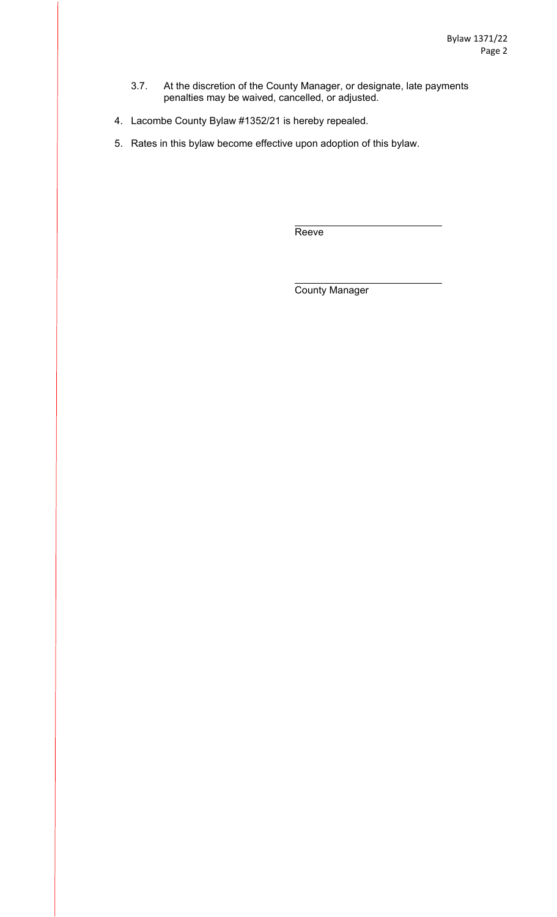- 3.7. At the discretion of the County Manager, or designate, late payments penalties may be waived, cancelled, or adjusted.
- 4. Lacombe County Bylaw #1352/21 is hereby repealed.
- 5. Rates in this bylaw become effective upon adoption of this bylaw.

Reeve

County Manager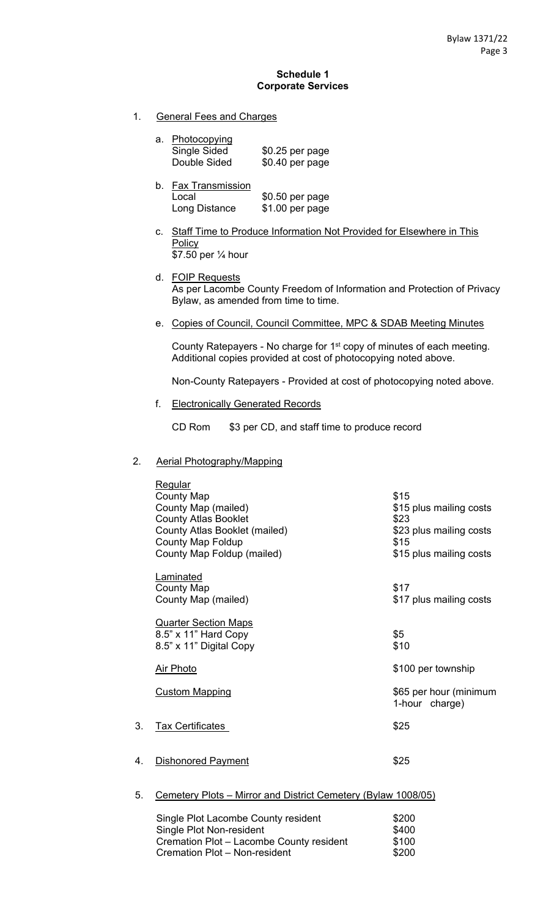#### **Schedule 1 Corporate Services**

1. General Fees and Charges

| a. Photocopying |                  |
|-----------------|------------------|
| Single Sided    | $$0.25$ per page |
| Double Sided    | \$0.40 per page  |

- b. Fax Transmission Local \$0.50 per page Long Distance \$1.00 per page
- c. Staff Time to Produce Information Not Provided for Elsewhere in This **Policy** \$7.50 per ¼ hour
- d. FOIP Requests As per Lacombe County Freedom of Information and Protection of Privacy Bylaw, as amended from time to time.
- e. Copies of Council, Council Committee, MPC & SDAB Meeting Minutes

County Ratepayers - No charge for 1<sup>st</sup> copy of minutes of each meeting. Additional copies provided at cost of photocopying noted above.

Non-County Ratepayers - Provided at cost of photocopying noted above.

f. Electronically Generated Records

CD Rom \$3 per CD, and staff time to produce record

### 2. Aerial Photography/Mapping

|    | <b>Regular</b><br><b>County Map</b><br>County Map (mailed)<br><b>County Atlas Booklet</b><br>County Atlas Booklet (mailed)<br><b>County Map Foldup</b><br>County Map Foldup (mailed) | \$15<br>\$15 plus mailing costs<br>\$23<br>\$23 plus mailing costs<br>\$15<br>\$15 plus mailing costs |
|----|--------------------------------------------------------------------------------------------------------------------------------------------------------------------------------------|-------------------------------------------------------------------------------------------------------|
|    | <b>Laminated</b><br><b>County Map</b><br>County Map (mailed)                                                                                                                         | \$17<br>\$17 plus mailing costs                                                                       |
|    | <b>Quarter Section Maps</b><br>8.5" x 11" Hard Copy<br>8.5" x 11" Digital Copy                                                                                                       | \$5<br>\$10                                                                                           |
|    | <b>Air Photo</b>                                                                                                                                                                     | \$100 per township                                                                                    |
|    | <b>Custom Mapping</b>                                                                                                                                                                | \$65 per hour (minimum<br>1-hour charge)                                                              |
| 3. | <b>Tax Certificates</b>                                                                                                                                                              | \$25                                                                                                  |
| 4. | <b>Dishonored Payment</b>                                                                                                                                                            | \$25                                                                                                  |
| 5. | Cemetery Plots - Mirror and District Cemetery (Bylaw 1008/05)                                                                                                                        |                                                                                                       |

| Single Plot Lacombe County resident      | \$200 |
|------------------------------------------|-------|
| Single Plot Non-resident                 | \$400 |
| Cremation Plot - Lacombe County resident | \$100 |
| Cremation Plot - Non-resident            | \$200 |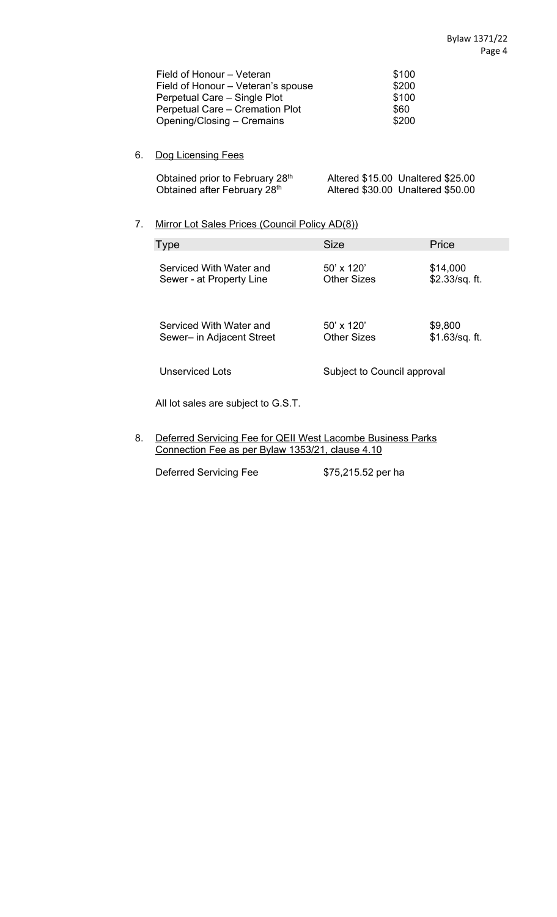| Field of Honour – Veteran          | \$100 |
|------------------------------------|-------|
| Field of Honour - Veteran's spouse | \$200 |
| Perpetual Care – Single Plot       | \$100 |
| Perpetual Care - Cremation Plot    | \$60  |
| Opening/Closing – Cremains         | \$200 |

## 6. Dog Licensing Fees

| Obtained prior to February 28th | Altered \$15.00 Unaltered \$25.00 |
|---------------------------------|-----------------------------------|
| Obtained after February 28th    | Altered \$30.00 Unaltered \$50.00 |

## 7. Mirror Lot Sales Prices (Council Policy AD(8))

| <b>Type</b>               | <b>Size</b>                 | Price           |
|---------------------------|-----------------------------|-----------------|
| Serviced With Water and   | $50' \times 120'$           | \$14,000        |
| Sewer - at Property Line  | Other Sizes                 | \$2.33/sq. ft.  |
| Serviced With Water and   | $50' \times 120'$           | \$9,800         |
| Sewer- in Adjacent Street | Other Sizes                 | $$1.63/sq.$ ft. |
| Unserviced Lots           | Subject to Council approval |                 |

All lot sales are subject to G.S.T.

8. Deferred Servicing Fee for QEII West Lacombe Business Parks Connection Fee as per Bylaw 1353/21, clause 4.10

Deferred Servicing Fee \$75,215.52 per ha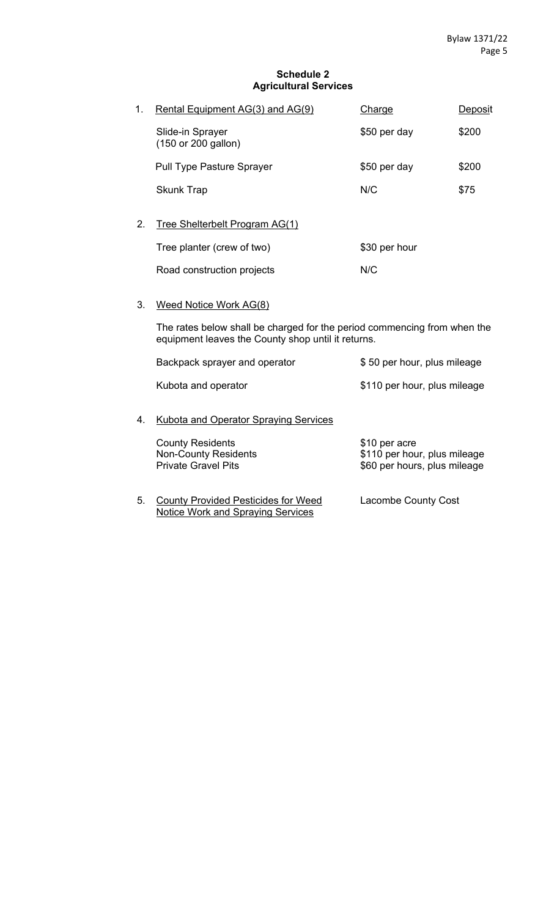#### **Schedule 2 Agricultural Services**

| 1. | Rental Equipment AG(3) and AG(9)        | Charge        | Deposit |
|----|-----------------------------------------|---------------|---------|
|    | Slide-in Sprayer<br>(150 or 200 gallon) | \$50 per day  | \$200   |
|    | <b>Pull Type Pasture Sprayer</b>        | \$50 per day  | \$200   |
|    | <b>Skunk Trap</b>                       | N/C           | \$75    |
| 2. | Tree Shelterbelt Program AG(1)          |               |         |
|    | Tree planter (crew of two)              | \$30 per hour |         |

Road construction projects M/C

3. Weed Notice Work AG(8)

The rates below shall be charged for the period commencing from when the equipment leaves the County shop until it returns.

|    | Backpack sprayer and operator                                                        | \$50 per hour, plus mileage                                                   |
|----|--------------------------------------------------------------------------------------|-------------------------------------------------------------------------------|
|    | Kubota and operator                                                                  | \$110 per hour, plus mileage                                                  |
| 4. | Kubota and Operator Spraying Services                                                |                                                                               |
|    | <b>County Residents</b><br><b>Non-County Residents</b><br><b>Private Gravel Pits</b> | \$10 per acre<br>\$110 per hour, plus mileage<br>\$60 per hours, plus mileage |
|    |                                                                                      |                                                                               |

5. County Provided Pesticides for Weed Lacombe County Cost Notice Work and Spraying Services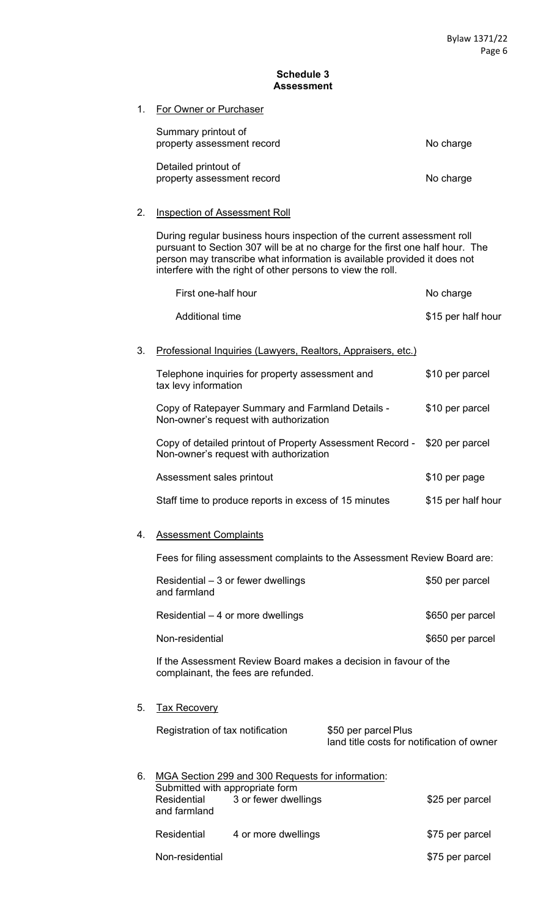#### **Schedule 3 Assessment**

1. For Owner or Purchaser

| Summary printout of<br>property assessment record  | No charge |
|----------------------------------------------------|-----------|
| Detailed printout of<br>property assessment record | No charge |

## 2. Inspection of Assessment Roll

During regular business hours inspection of the current assessment roll pursuant to Section 307 will be at no charge for the first one half hour. The person may transcribe what information is available provided it does not interfere with the right of other persons to view the roll.

|    | First one-half hour                                                                                                 |                                                                    | No charge          |
|----|---------------------------------------------------------------------------------------------------------------------|--------------------------------------------------------------------|--------------------|
|    | <b>Additional time</b>                                                                                              |                                                                    | \$15 per half hour |
| 3. | Professional Inquiries (Lawyers, Realtors, Appraisers, etc.)                                                        |                                                                    |                    |
|    | Telephone inquiries for property assessment and<br>tax levy information                                             |                                                                    | \$10 per parcel    |
|    | Copy of Ratepayer Summary and Farmland Details -<br>Non-owner's request with authorization                          |                                                                    | \$10 per parcel    |
|    | Copy of detailed printout of Property Assessment Record - \$20 per parcel<br>Non-owner's request with authorization |                                                                    |                    |
|    | Assessment sales printout                                                                                           |                                                                    | \$10 per page      |
|    | Staff time to produce reports in excess of 15 minutes                                                               |                                                                    | \$15 per half hour |
| 4. | <b>Assessment Complaints</b>                                                                                        |                                                                    |                    |
|    | Fees for filing assessment complaints to the Assessment Review Board are:                                           |                                                                    |                    |
|    | Residential – 3 or fewer dwellings<br>and farmland                                                                  |                                                                    | \$50 per parcel    |
|    | Residential - 4 or more dwellings                                                                                   |                                                                    | \$650 per parcel   |
|    | Non-residential                                                                                                     |                                                                    | \$650 per parcel   |
|    | If the Assessment Review Board makes a decision in favour of the<br>complainant, the fees are refunded.             |                                                                    |                    |
| 5. | <b>Tax Recovery</b>                                                                                                 |                                                                    |                    |
|    | Registration of tax notification                                                                                    | \$50 per parcel Plus<br>land title costs for notification of owner |                    |
| 6. | MGA Section 299 and 300 Requests for information:<br>Submitted with appropriate form                                |                                                                    |                    |
|    | 3 or fewer dwellings<br><b>Residential</b><br>and farmland                                                          |                                                                    | \$25 per parcel    |
|    | Residential<br>4 or more dwellings                                                                                  |                                                                    | \$75 per parcel    |

Non-residential **\$75 per parcel**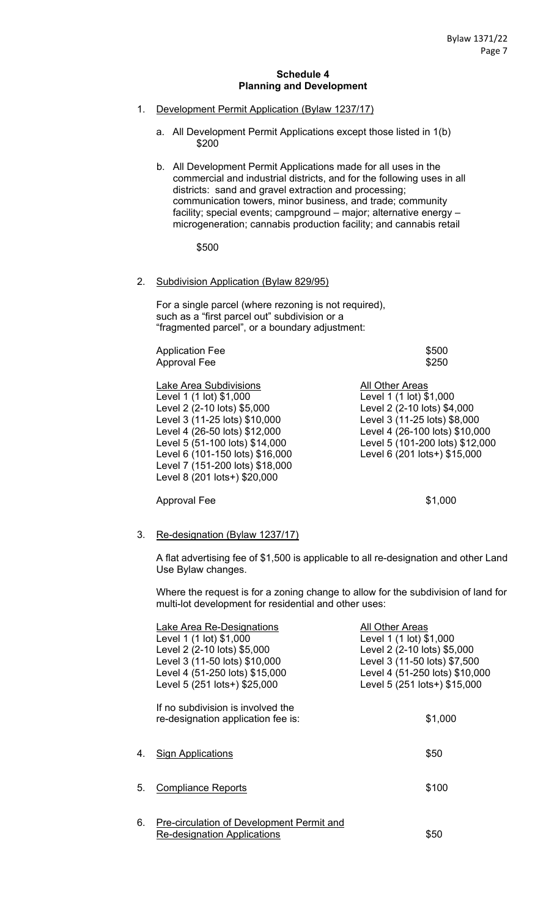#### **Schedule 4 Planning and Development**

- 1. Development Permit Application (Bylaw 1237/17)
	- a. All Development Permit Applications except those listed in 1(b) \$200
	- b. All Development Permit Applications made for all uses in the commercial and industrial districts, and for the following uses in all districts: sand and gravel extraction and processing; communication towers, minor business, and trade; community facility; special events; campground – major; alternative energy – microgeneration; cannabis production facility; and cannabis retail

\$500

#### 2. Subdivision Application (Bylaw 829/95)

For a single parcel (where rezoning is not required), such as a "first parcel out" subdivision or a "fragmented parcel", or a boundary adjustment:

Application Fee  $$500$ Approval Fee \$250

Lake Area Subdivisions **All Other Areas** Level 1 (1 lot) \$1,000 Level 1 (1 lot) \$1,000 Level 2 (2-10 lots) \$5,000 Level 2 (2-10 lots) \$4,000 Level 3 (11-25 lots) \$10,000 Level 3 (11-25 lots) \$8,000 Level 4 (26-50 lots) \$12,000 Level 4 (26-100 lots) \$10,000 Level 5 (51-100 lots) \$14,000 Level 5 (101-200 lots) \$12,000 Level 6 (101-150 lots) \$16,000 Level 6 (201 lots+) \$15,000 Level 7 (151-200 lots) \$18,000 Level 8 (201 lots+) \$20,000

#### 3. Re-designation (Bylaw 1237/17)

A flat advertising fee of \$1,500 is applicable to all re-designation and other Land Use Bylaw changes.

Approval Fee  $$1,000$ 

Where the request is for a zoning change to allow for the subdivision of land for multi-lot development for residential and other uses:

|    | Lake Area Re-Designations<br>Level 1 (1 lot) \$1,000<br>Level 2 (2-10 lots) \$5,000 | All Other Areas<br>Level 1 (1 lot) \$1,000<br>Level 2 (2-10 lots) \$5,000 |
|----|-------------------------------------------------------------------------------------|---------------------------------------------------------------------------|
|    | Level 3 (11-50 lots) \$10,000<br>Level 4 (51-250 lots) \$15,000                     | Level 3 (11-50 lots) \$7,500<br>Level 4 (51-250 lots) \$10,000            |
|    | Level 5 (251 lots+) \$25,000                                                        | Level 5 (251 lots+) \$15,000                                              |
|    | If no subdivision is involved the<br>re-designation application fee is:             | \$1,000                                                                   |
| 4. | <b>Sign Applications</b>                                                            | \$50                                                                      |
| 5. | <b>Compliance Reports</b>                                                           | \$100                                                                     |
| 6. | <b>Pre-circulation of Development Permit and</b><br>Re-designation Applications     | \$50                                                                      |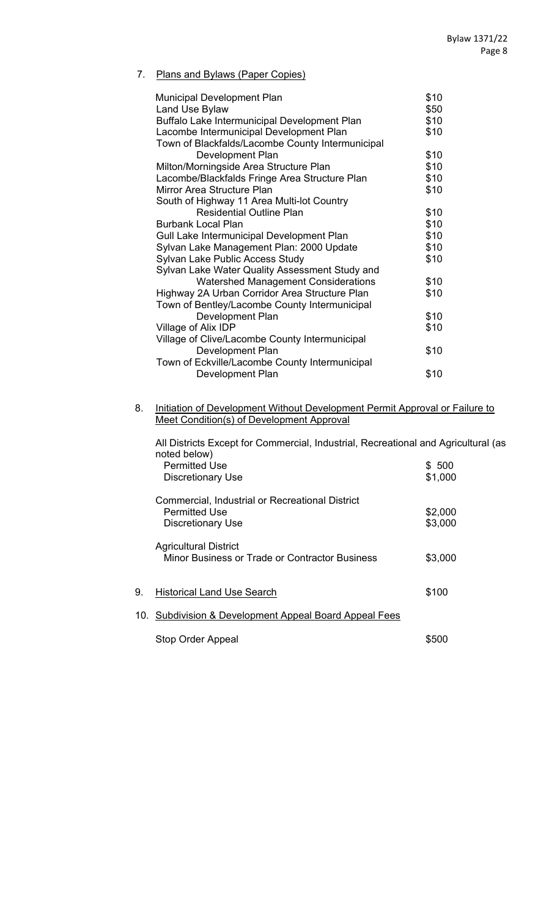## 7. Plans and Bylaws (Paper Copies)

| <b>Municipal Development Plan</b>                | \$10 |
|--------------------------------------------------|------|
| Land Use Bylaw                                   | \$50 |
| Buffalo Lake Intermunicipal Development Plan     | \$10 |
| Lacombe Intermunicipal Development Plan          | \$10 |
| Town of Blackfalds/Lacombe County Intermunicipal |      |
| Development Plan                                 | \$10 |
| Milton/Morningside Area Structure Plan           | \$10 |
| Lacombe/Blackfalds Fringe Area Structure Plan    | \$10 |
| Mirror Area Structure Plan                       | \$10 |
| South of Highway 11 Area Multi-lot Country       |      |
| <b>Residential Outline Plan</b>                  | \$10 |
| <b>Burbank Local Plan</b>                        | \$10 |
| Gull Lake Intermunicipal Development Plan        | \$10 |
| Sylvan Lake Management Plan: 2000 Update         | \$10 |
| Sylvan Lake Public Access Study                  | \$10 |
| Sylvan Lake Water Quality Assessment Study and   |      |
| <b>Watershed Management Considerations</b>       | \$10 |
| Highway 2A Urban Corridor Area Structure Plan    | \$10 |
| Town of Bentley/Lacombe County Intermunicipal    |      |
| Development Plan                                 | \$10 |
| Village of Alix IDP                              | \$10 |
| Village of Clive/Lacombe County Intermunicipal   |      |
| Development Plan                                 | \$10 |
| Town of Eckville/Lacombe County Intermunicipal   |      |
| Development Plan                                 | \$10 |
|                                                  |      |

8. Initiation of Development Without Development Permit Approval or Failure to Meet Condition(s) of Development Approval

|    | All Districts Except for Commercial, Industrial, Recreational and Agricultural (as<br>noted below) |         |
|----|----------------------------------------------------------------------------------------------------|---------|
|    | <b>Permitted Use</b>                                                                               | \$500   |
|    | <b>Discretionary Use</b>                                                                           | \$1,000 |
|    | Commercial, Industrial or Recreational District                                                    |         |
|    | <b>Permitted Use</b>                                                                               | \$2,000 |
|    | <b>Discretionary Use</b>                                                                           | \$3,000 |
|    | <b>Agricultural District</b><br>Minor Business or Trade or Contractor Business                     | \$3,000 |
| 9. | <b>Historical Land Use Search</b>                                                                  | \$100   |
|    | 10. Subdivision & Development Appeal Board Appeal Fees                                             |         |
|    | <b>Stop Order Appeal</b>                                                                           | \$500   |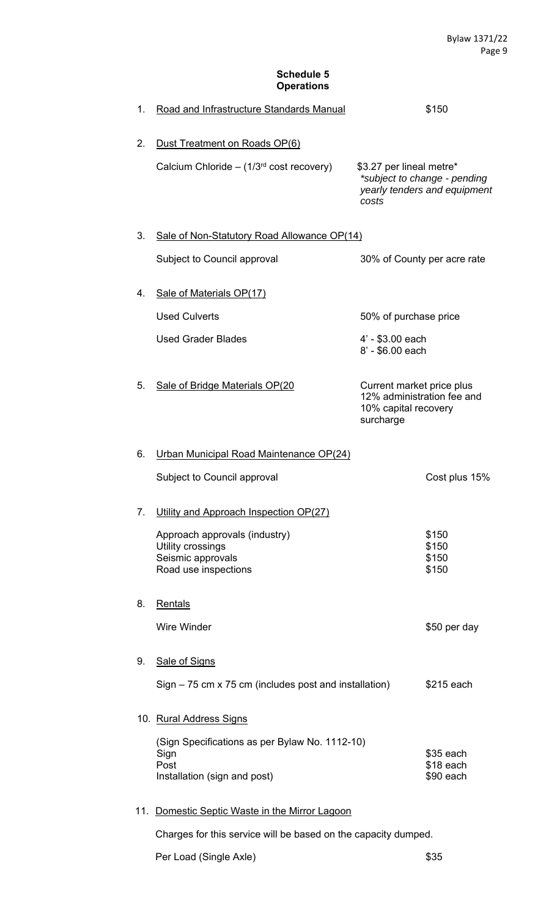## **Schedule 5 Operations**

| 1. | Road and Infrastructure Standards Manual                                                       |                                                                                              | \$150                                                        |
|----|------------------------------------------------------------------------------------------------|----------------------------------------------------------------------------------------------|--------------------------------------------------------------|
| 2. | Dust Treatment on Roads OP(6)<br>Calcium Chloride - $(1/3rd cost recovery)$                    | \$3.27 per lineal metre*<br>costs                                                            | *subject to change - pending<br>yearly tenders and equipment |
| 3. | Sale of Non-Statutory Road Allowance OP(14)                                                    |                                                                                              |                                                              |
|    | Subject to Council approval                                                                    | 30% of County per acre rate                                                                  |                                                              |
| 4. | Sale of Materials OP(17)                                                                       |                                                                                              |                                                              |
|    | <b>Used Culverts</b>                                                                           | 50% of purchase price                                                                        |                                                              |
|    | <b>Used Grader Blades</b>                                                                      | 4' - \$3.00 each<br>8' - \$6.00 each                                                         |                                                              |
| 5. | Sale of Bridge Materials OP(20                                                                 | Current market price plus<br>12% administration fee and<br>10% capital recovery<br>surcharge |                                                              |
| 6. | Urban Municipal Road Maintenance OP(24)                                                        |                                                                                              |                                                              |
|    | Subject to Council approval                                                                    |                                                                                              | Cost plus 15%                                                |
| 7. | Utility and Approach Inspection OP(27)                                                         |                                                                                              |                                                              |
|    | Approach approvals (industry)<br>Utility crossings                                             |                                                                                              | \$150<br>\$150                                               |
|    | Seismic approvals<br>Road use inspections                                                      |                                                                                              | \$150<br>\$150                                               |
| 8. | Rentals                                                                                        |                                                                                              |                                                              |
|    | <b>Wire Winder</b>                                                                             |                                                                                              | \$50 per day                                                 |
| 9. | <b>Sale of Signs</b>                                                                           |                                                                                              |                                                              |
|    | $Sign - 75$ cm x 75 cm (includes post and installation)                                        |                                                                                              | \$215 each                                                   |
|    | 10. Rural Address Signs                                                                        |                                                                                              |                                                              |
|    | (Sign Specifications as per Bylaw No. 1112-10)<br>Sign<br>Post<br>Installation (sign and post) |                                                                                              | \$35 each<br>\$18 each<br>\$90 each                          |

## 11. Domestic Septic Waste in the Mirror Lagoon

Charges for this service will be based on the capacity dumped.

Per Load (Single Axle)  $$35$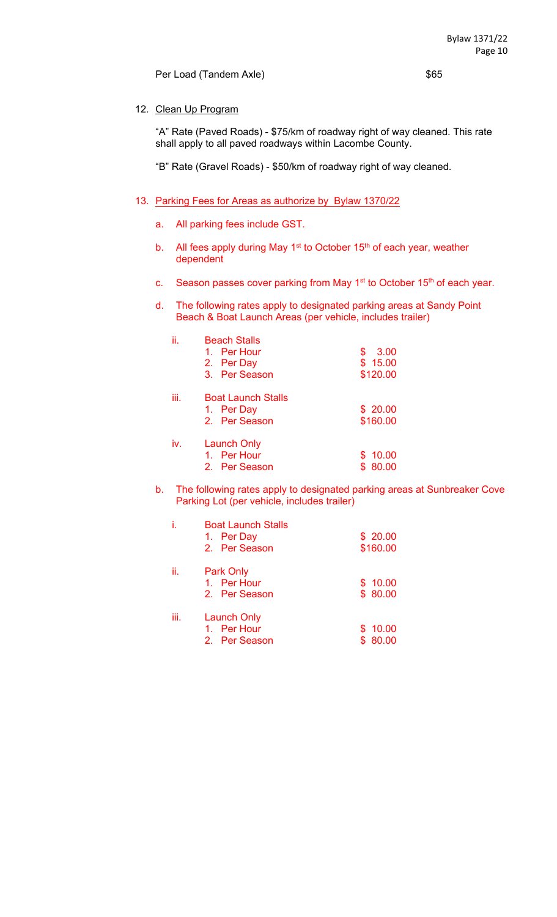Per Load (Tandem Axle)  $$65$ 

#### 12. Clean Up Program

 "A" Rate (Paved Roads) - \$75/km of roadway right of way cleaned. This rate shall apply to all paved roadways within Lacombe County.

"B" Rate (Gravel Roads) - \$50/km of roadway right of way cleaned.

#### 13. Parking Fees for Areas as authorize by Bylaw 1370/22

- a. All parking fees include GST.
- b. All fees apply during May  $1<sup>st</sup>$  to October 15<sup>th</sup> of each year, weather dependent
- c. Season passes cover parking from May 1<sup>st</sup> to October 15<sup>th</sup> of each year.
- d. The following rates apply to designated parking areas at Sandy Point Beach & Boat Launch Areas (per vehicle, includes trailer)

| ii.  | <b>Beach Stalls</b>       |             |
|------|---------------------------|-------------|
|      | 1. Per Hour               | 3.00<br>\$  |
|      | 2. Per Day                | \$15.00     |
|      | 3. Per Season             | \$120.00    |
| iii. | <b>Boat Launch Stalls</b> |             |
|      | 1. Per Day                | \$20.00     |
|      | 2. Per Season             | \$160.00    |
| iv.  | <b>Launch Only</b>        |             |
|      | 1. Per Hour               | \$10.00     |
|      | 2. Per Season             | 80.00<br>\$ |

b. The following rates apply to designated parking areas at Sunbreaker Cove Parking Lot (per vehicle, includes trailer)

|      | <b>Boat Launch Stalls</b><br>1. Per Day<br>2. Per Season | \$20.00<br>\$160.00     |
|------|----------------------------------------------------------|-------------------------|
| ii.  | <b>Park Only</b><br>1. Per Hour<br>2. Per Season         | \$10.00<br>\$80.00      |
| iii. | <b>Launch Only</b><br>1. Per Hour<br>2. Per Season       | \$10.00<br>80.00<br>\$. |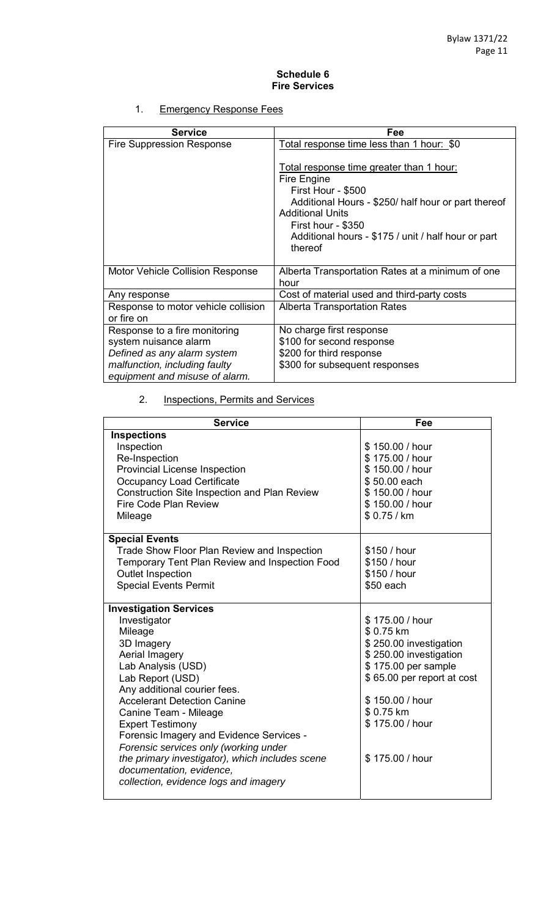#### **Schedule 6 Fire Services**

## 1. Emergency Response Fees

| <b>Service</b>                                                                        | Fee                                                                                                                                                                                                                                                     |
|---------------------------------------------------------------------------------------|---------------------------------------------------------------------------------------------------------------------------------------------------------------------------------------------------------------------------------------------------------|
| <b>Fire Suppression Response</b>                                                      | Total response time less than 1 hour: \$0                                                                                                                                                                                                               |
|                                                                                       | Total response time greater than 1 hour:<br>Fire Engine<br>First Hour - \$500<br>Additional Hours - \$250/ half hour or part thereof<br><b>Additional Units</b><br>First hour - \$350<br>Additional hours - \$175 / unit / half hour or part<br>thereof |
| Motor Vehicle Collision Response                                                      | Alberta Transportation Rates at a minimum of one<br>hour                                                                                                                                                                                                |
| Any response                                                                          | Cost of material used and third-party costs                                                                                                                                                                                                             |
| Response to motor vehicle collision<br>or fire on                                     | <b>Alberta Transportation Rates</b>                                                                                                                                                                                                                     |
| Response to a fire monitoring<br>system nuisance alarm<br>Defined as any alarm system | No charge first response<br>\$100 for second response<br>\$200 for third response                                                                                                                                                                       |
| malfunction, including faulty<br>equipment and misuse of alarm.                       | \$300 for subsequent responses                                                                                                                                                                                                                          |

# 2. **Inspections, Permits and Services**

| <b>Service</b>                                      | Fee                        |
|-----------------------------------------------------|----------------------------|
| <b>Inspections</b>                                  |                            |
| Inspection                                          | \$150.00 / hour            |
| Re-Inspection                                       | \$175.00 / hour            |
| <b>Provincial License Inspection</b>                | \$150.00 / hour            |
| <b>Occupancy Load Certificate</b>                   | \$50.00 each               |
| <b>Construction Site Inspection and Plan Review</b> | \$150.00 / hour            |
| Fire Code Plan Review                               | \$150.00 / hour            |
| Mileage                                             | \$0.75/km                  |
|                                                     |                            |
| <b>Special Events</b>                               |                            |
| <b>Trade Show Floor Plan Review and Inspection</b>  | \$150 / hour               |
| Temporary Tent Plan Review and Inspection Food      | \$150 / hour               |
| <b>Outlet Inspection</b>                            | \$150 / hour               |
| <b>Special Events Permit</b>                        | \$50 each                  |
|                                                     |                            |
| <b>Investigation Services</b>                       |                            |
| Investigator                                        | \$175.00 / hour            |
| Mileage                                             | \$0.75 km                  |
| 3D Imagery                                          | \$250.00 investigation     |
| Aerial Imagery                                      | \$250.00 investigation     |
| Lab Analysis (USD)                                  | \$175.00 per sample        |
| Lab Report (USD)                                    | \$65.00 per report at cost |
| Any additional courier fees.                        |                            |
| <b>Accelerant Detection Canine</b>                  | \$150.00 / hour            |
| Canine Team - Mileage                               | \$0.75 km                  |
| <b>Expert Testimony</b>                             | \$175.00 / hour            |
| Forensic Imagery and Evidence Services -            |                            |
| Forensic services only (working under               |                            |
| the primary investigator), which includes scene     | \$175.00 / hour            |
| documentation, evidence,                            |                            |
| collection, evidence logs and imagery               |                            |
|                                                     |                            |